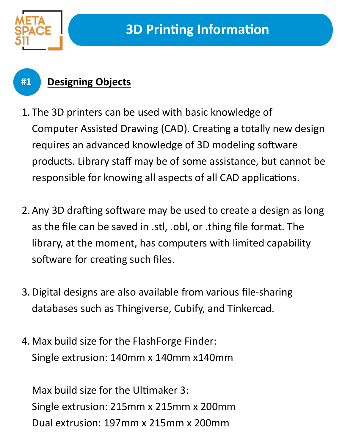

**#1**

## **Designing Objects**

- 1. The 3D printers can be used with basic knowledge of Computer Assisted Drawing (CAD). Creating a totally new design requires an advanced knowledge of 3D modeling software products. Library staff may be of some assistance, but cannot be responsible for knowing all aspects of all CAD applications.
- 2.Any 3D drafting software may be used to create a design as long as the file can be saved in .stl, .obl, or .thing file format. The library, at the moment, has computers with limited capability software for creating such files.
- 3.Digital designs are also available from various file-sharing databases such as Thingiverse, Cubify, and Tinkercad.
- 4.Max build size for the FlashForge Finder: Single extrusion: 140mm x 140mm x140mm

Max build size for the Ultimaker 3: Single extrusion: 215mm x 215mm x 200mm Dual extrusion: 197mm x 215mm x 200mm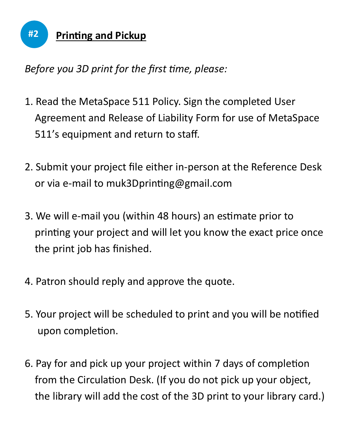

*Before you 3D print for the first time, please:* 

- 1. Read the MetaSpace 511 Policy. Sign the completed User Agreement and Release of Liability Form for use of MetaSpace 511's equipment and return to staff.
- 2. Submit your project file either in-person at the Reference Desk or via e-mail to muk3Dprinting@gmail.com
- 3. We will e-mail you (within 48 hours) an estimate prior to printing your project and will let you know the exact price once the print job has finished.
- 4. Patron should reply and approve the quote.
- 5. Your project will be scheduled to print and you will be notified upon completion.
- 6. Pay for and pick up your project within 7 days of completion from the Circulation Desk. (If you do not pick up your object, the library will add the cost of the 3D print to your library card.)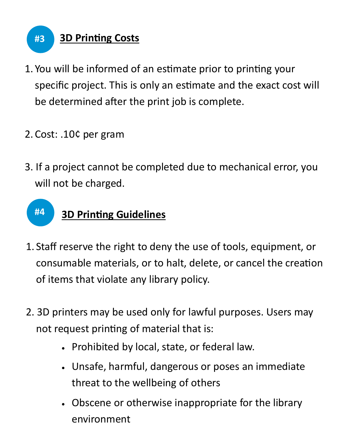

- 1. You will be informed of an estimate prior to printing your specific project. This is only an estimate and the exact cost will be determined after the print job is complete.
- 2. Cost: .10¢ per gram
- 3. If a project cannot be completed due to mechanical error, you will not be charged.

## **#4 3D Printing Guidelines**

- 1. Staff reserve the right to deny the use of tools, equipment, or consumable materials, or to halt, delete, or cancel the creation of items that violate any library policy.
- 2. 3D printers may be used only for lawful purposes. Users may not request printing of material that is:
	- Prohibited by local, state, or federal law.
	- Unsafe, harmful, dangerous or poses an immediate threat to the wellbeing of others
	- Obscene or otherwise inappropriate for the library environment